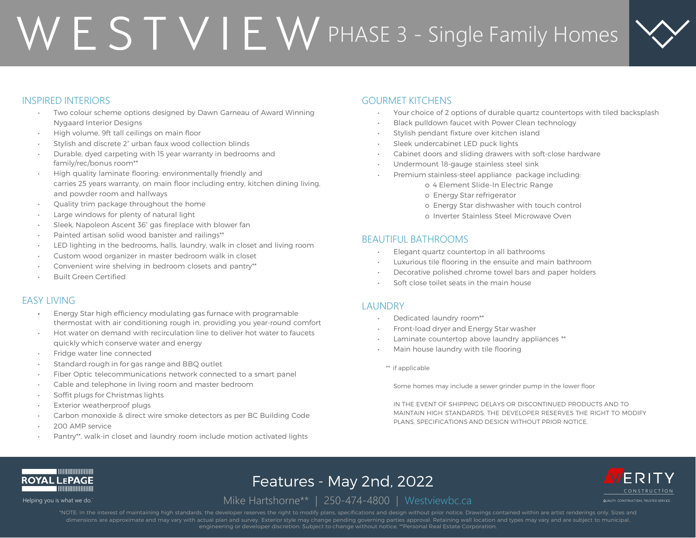# $WESTVIEW$ PHASE 3 - Single Family Homes



CONSTRUCTION

UAL TY CONSTRUCT ON TRUSTED SERV CE

## INSPIRED INTERIORS

- Two colour scheme options designed by Dawn Garneau of Award Winning Nygaard Interior Designs
- High volume, 9ft tall ceilings on main floor
- Stylish and discrete 2" urban faux wood collection blinds
- Durable, dyed carpeting with 15 year warranty in bedrooms and family/rec/bonus room\*\*
- High quality laminate flooring; environmentally friendly and carries 25 years warranty, on main floor including entry, kitchen dining living, and powder room and hallways
- Quality trim package throughout the home
- Large windows for plenty of natural light
- Sleek, Napoleon Ascent 36" gas fireplace with blower fan
- Painted artisan solid wood banister and railings\*\*
- LED lighting in the bedrooms, halls, laundry, walk in closet and living room
- Custom wood organizer in master bedroom walk in closet
- Convenient wire shelving in bedroom closets and pantry\*\*
- Built Green Certified

### EASY LIVING

- Energy Star high efficiency modulating gas furnace with programable thermostat with air conditioning rough in, providing you year-round comfort
- Hot water on demand with recirculation line to deliver hot water to faucets quickly which conserve water and energy
- Fridge water line connected
- Standard rough in for gas range and BBQ outlet
- Fiber Optic telecommunications network connected to a smart panel
- Cable and telephone in living room and master bedroom
- Soffit plugs for Christmas lights
- Exterior weatherproof plugs
- Carbon monoxide & direct wire smoke detectors as per BC Building Code
- 200 AMP service
- Pantry\*\*, walk-in closet and laundry room include motion activated lights

## GOURMET KITCHENS

- Your choice of 2 options of durable quartz countertops with tiled backsplash
- Black pulldown faucet with Power Clean technology
- Stylish pendant fixture over kitchen island
- Sleek undercabinet LED puck lights
- Cabinet doors and sliding drawers with soft-close hardware
- Undermount 18-gauge stainless steel sink
- Premium stainless-steel appliance package including:
	- o 4 Element Slide-In Electric Range
	- o Energy Star refrigerator
	- o Energy Star dishwasher with touch control
	- o Inverter Stainless Steel Microwave Oven

### BEAUTIFUL BATHROOMS

- Elegant quartz countertop in all bathrooms
- Luxurious tile flooring in the ensuite and main bathroom
- Decorative polished chrome towel bars and paper holders
- Soft close toilet seats in the main house

### **LAUNDRY**

- Dedicated laundry room\*\*
- Front-load dryer and Energy Star washer
- Laminate countertop above laundry appliances \*\*
- Main house laundry with tile flooring
- \*\* if applicable

Some homes may include a sewer grinder pump in the lower floor

IN THE EVENT OF SHIPPING DELAYS OR DISCONTINUED PRODUCTS AND TO MAINTAIN HIGH STANDARDS, THE DEVELOPER RESERVES THE RIGHT TO MODIFY PLANS, SPECIFICATIONS AND DESIGN WITHOUT PRIOR NOTICE.



# Features - May 2nd, 2022

Helping you is what we do. Mike Hartshorne<sup>\*\*</sup> | 250-474-4800 | Westviewbc.ca

\*NOTE: In the interest of maintaining high standards, the developer reserves the right to modify plans, specifications and design without prior notice. Drawings contained within are artist renderings only. Sizes and dimensions are approximate and may vary with actual plan and survey. Exterior style may change pending governing parties approval. Retaining wall location and types may vary and are subject to municipal,<br>engineering or dev